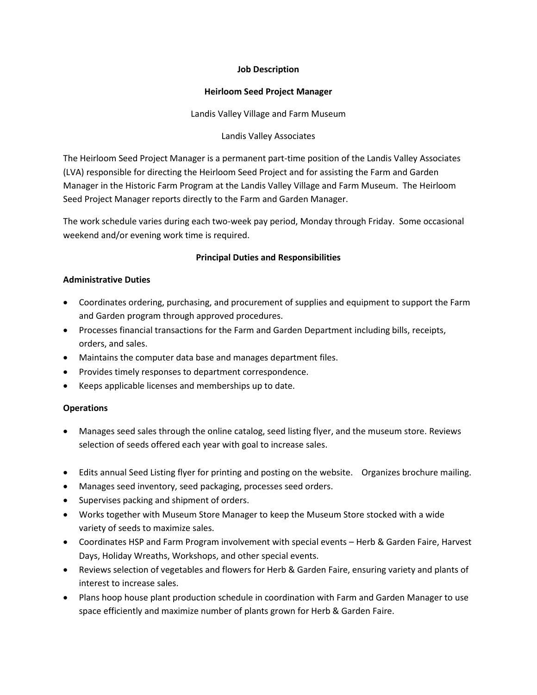### **Job Description**

#### **Heirloom Seed Project Manager**

Landis Valley Village and Farm Museum

Landis Valley Associates

The Heirloom Seed Project Manager is a permanent part-time position of the Landis Valley Associates (LVA) responsible for directing the Heirloom Seed Project and for assisting the Farm and Garden Manager in the Historic Farm Program at the Landis Valley Village and Farm Museum. The Heirloom Seed Project Manager reports directly to the Farm and Garden Manager.

The work schedule varies during each two-week pay period, Monday through Friday. Some occasional weekend and/or evening work time is required.

# **Principal Duties and Responsibilities**

## **Administrative Duties**

- Coordinates ordering, purchasing, and procurement of supplies and equipment to support the Farm and Garden program through approved procedures.
- Processes financial transactions for the Farm and Garden Department including bills, receipts, orders, and sales.
- Maintains the computer data base and manages department files.
- Provides timely responses to department correspondence.
- Keeps applicable licenses and memberships up to date.

## **Operations**

- Manages seed sales through the online catalog, seed listing flyer, and the museum store. Reviews selection of seeds offered each year with goal to increase sales.
- Edits annual Seed Listing flyer for printing and posting on the website. Organizes brochure mailing.
- Manages seed inventory, seed packaging, processes seed orders.
- Supervises packing and shipment of orders.
- Works together with Museum Store Manager to keep the Museum Store stocked with a wide variety of seeds to maximize sales.
- Coordinates HSP and Farm Program involvement with special events Herb & Garden Faire, Harvest Days, Holiday Wreaths, Workshops, and other special events.
- Reviews selection of vegetables and flowers for Herb & Garden Faire, ensuring variety and plants of interest to increase sales.
- Plans hoop house plant production schedule in coordination with Farm and Garden Manager to use space efficiently and maximize number of plants grown for Herb & Garden Faire.